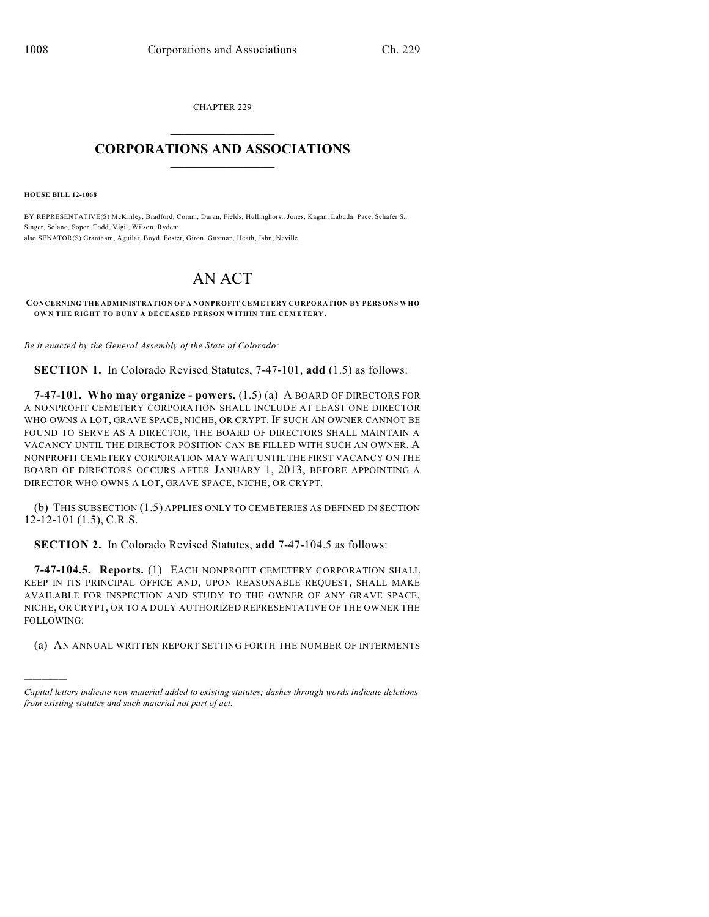CHAPTER 229  $\mathcal{L}_\text{max}$  . The set of the set of the set of the set of the set of the set of the set of the set of the set of the set of the set of the set of the set of the set of the set of the set of the set of the set of the set

## **CORPORATIONS AND ASSOCIATIONS**  $\_$   $\_$   $\_$   $\_$   $\_$   $\_$   $\_$   $\_$   $\_$

**HOUSE BILL 12-1068**

)))))

BY REPRESENTATIVE(S) McKinley, Bradford, Coram, Duran, Fields, Hullinghorst, Jones, Kagan, Labuda, Pace, Schafer S., Singer, Solano, Soper, Todd, Vigil, Wilson, Ryden; also SENATOR(S) Grantham, Aguilar, Boyd, Foster, Giron, Guzman, Heath, Jahn, Neville.

## AN ACT

## **CONCERNING THE ADMINISTRATION OF A NONPROFIT CEMETERY CORPORATION BY PERSONS WHO OWN THE RIGHT TO BURY A DECEASED PERSON WITHIN THE CEMETERY.**

*Be it enacted by the General Assembly of the State of Colorado:*

**SECTION 1.** In Colorado Revised Statutes, 7-47-101, **add** (1.5) as follows:

**7-47-101. Who may organize - powers.** (1.5) (a) A BOARD OF DIRECTORS FOR A NONPROFIT CEMETERY CORPORATION SHALL INCLUDE AT LEAST ONE DIRECTOR WHO OWNS A LOT, GRAVE SPACE, NICHE, OR CRYPT. IF SUCH AN OWNER CANNOT BE FOUND TO SERVE AS A DIRECTOR, THE BOARD OF DIRECTORS SHALL MAINTAIN A VACANCY UNTIL THE DIRECTOR POSITION CAN BE FILLED WITH SUCH AN OWNER. A NONPROFIT CEMETERY CORPORATION MAY WAIT UNTIL THE FIRST VACANCY ON THE BOARD OF DIRECTORS OCCURS AFTER JANUARY 1, 2013, BEFORE APPOINTING A DIRECTOR WHO OWNS A LOT, GRAVE SPACE, NICHE, OR CRYPT.

(b) THIS SUBSECTION (1.5) APPLIES ONLY TO CEMETERIES AS DEFINED IN SECTION 12-12-101 (1.5), C.R.S.

**SECTION 2.** In Colorado Revised Statutes, **add** 7-47-104.5 as follows:

**7-47-104.5. Reports.** (1) EACH NONPROFIT CEMETERY CORPORATION SHALL KEEP IN ITS PRINCIPAL OFFICE AND, UPON REASONABLE REQUEST, SHALL MAKE AVAILABLE FOR INSPECTION AND STUDY TO THE OWNER OF ANY GRAVE SPACE, NICHE, OR CRYPT, OR TO A DULY AUTHORIZED REPRESENTATIVE OF THE OWNER THE FOLLOWING:

(a) AN ANNUAL WRITTEN REPORT SETTING FORTH THE NUMBER OF INTERMENTS

*Capital letters indicate new material added to existing statutes; dashes through words indicate deletions from existing statutes and such material not part of act.*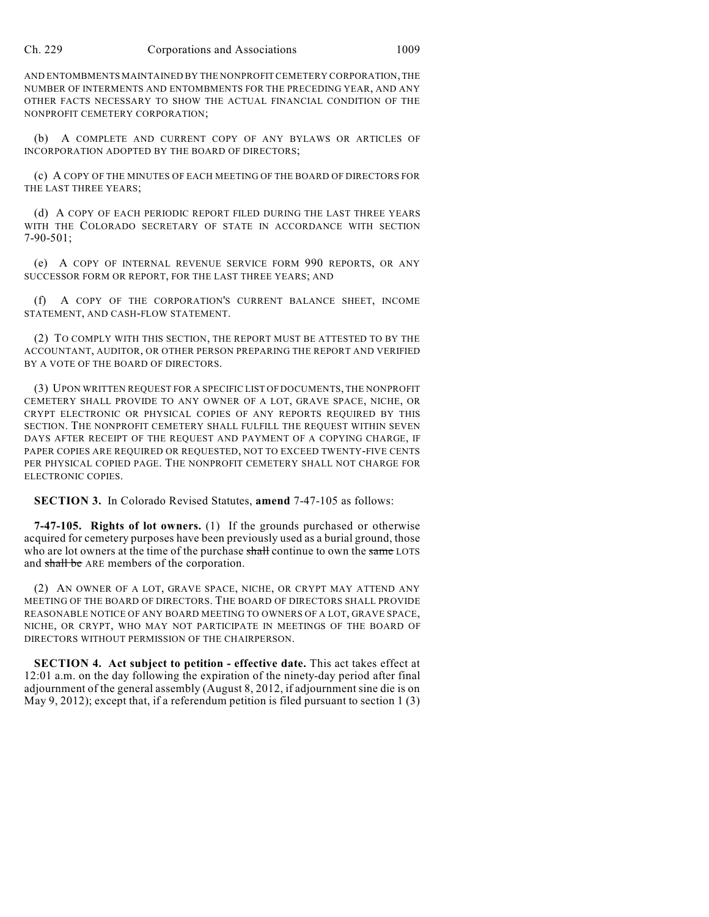AND ENTOMBMENTS MAINTAINED BY THE NONPROFITCEMETERY CORPORATION, THE NUMBER OF INTERMENTS AND ENTOMBMENTS FOR THE PRECEDING YEAR, AND ANY OTHER FACTS NECESSARY TO SHOW THE ACTUAL FINANCIAL CONDITION OF THE NONPROFIT CEMETERY CORPORATION;

(b) A COMPLETE AND CURRENT COPY OF ANY BYLAWS OR ARTICLES OF INCORPORATION ADOPTED BY THE BOARD OF DIRECTORS;

(c) A COPY OF THE MINUTES OF EACH MEETING OF THE BOARD OF DIRECTORS FOR THE LAST THREE YEARS;

(d) A COPY OF EACH PERIODIC REPORT FILED DURING THE LAST THREE YEARS WITH THE COLORADO SECRETARY OF STATE IN ACCORDANCE WITH SECTION 7-90-501;

(e) A COPY OF INTERNAL REVENUE SERVICE FORM 990 REPORTS, OR ANY SUCCESSOR FORM OR REPORT, FOR THE LAST THREE YEARS; AND

(f) A COPY OF THE CORPORATION'S CURRENT BALANCE SHEET, INCOME STATEMENT, AND CASH-FLOW STATEMENT.

(2) TO COMPLY WITH THIS SECTION, THE REPORT MUST BE ATTESTED TO BY THE ACCOUNTANT, AUDITOR, OR OTHER PERSON PREPARING THE REPORT AND VERIFIED BY A VOTE OF THE BOARD OF DIRECTORS.

(3) UPON WRITTEN REQUEST FOR A SPECIFIC LIST OF DOCUMENTS, THE NONPROFIT CEMETERY SHALL PROVIDE TO ANY OWNER OF A LOT, GRAVE SPACE, NICHE, OR CRYPT ELECTRONIC OR PHYSICAL COPIES OF ANY REPORTS REQUIRED BY THIS SECTION. THE NONPROFIT CEMETERY SHALL FULFILL THE REQUEST WITHIN SEVEN DAYS AFTER RECEIPT OF THE REQUEST AND PAYMENT OF A COPYING CHARGE, IF PAPER COPIES ARE REQUIRED OR REQUESTED, NOT TO EXCEED TWENTY-FIVE CENTS PER PHYSICAL COPIED PAGE. THE NONPROFIT CEMETERY SHALL NOT CHARGE FOR ELECTRONIC COPIES.

**SECTION 3.** In Colorado Revised Statutes, **amend** 7-47-105 as follows:

**7-47-105. Rights of lot owners.** (1) If the grounds purchased or otherwise acquired for cemetery purposes have been previously used as a burial ground, those who are lot owners at the time of the purchase shall continue to own the same LOTS and shall be ARE members of the corporation.

(2) AN OWNER OF A LOT, GRAVE SPACE, NICHE, OR CRYPT MAY ATTEND ANY MEETING OF THE BOARD OF DIRECTORS. THE BOARD OF DIRECTORS SHALL PROVIDE REASONABLE NOTICE OF ANY BOARD MEETING TO OWNERS OF A LOT, GRAVE SPACE, NICHE, OR CRYPT, WHO MAY NOT PARTICIPATE IN MEETINGS OF THE BOARD OF DIRECTORS WITHOUT PERMISSION OF THE CHAIRPERSON.

**SECTION 4. Act subject to petition - effective date.** This act takes effect at 12:01 a.m. on the day following the expiration of the ninety-day period after final adjournment of the general assembly (August 8, 2012, if adjournment sine die is on May 9, 2012); except that, if a referendum petition is filed pursuant to section 1 (3)